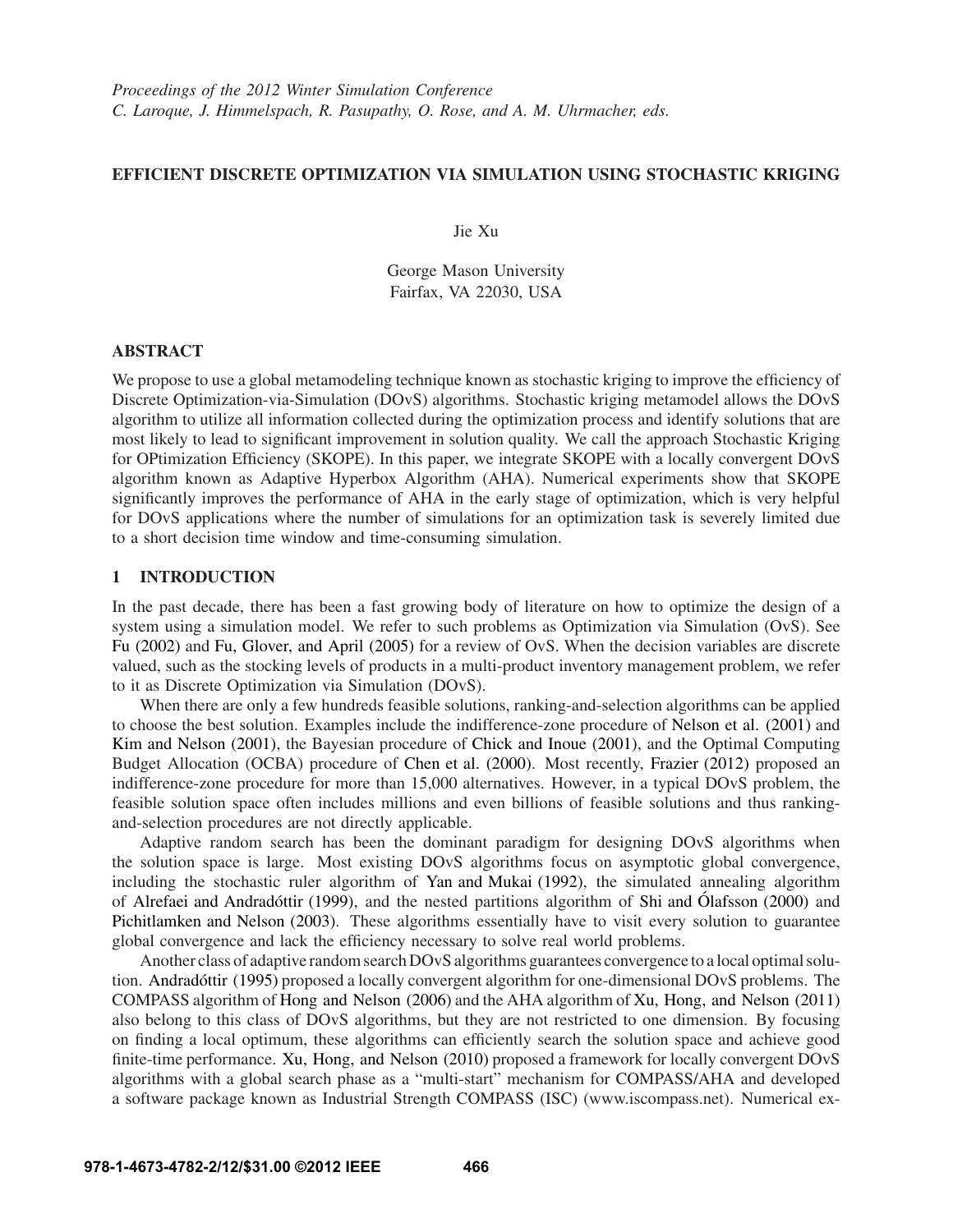# **EFFICIENT DISCRETE OPTIMIZATION VIA SIMULATION USING STOCHASTIC KRIGING**

Jie Xu

George Mason University Fairfax, VA 22030, USA

# **ABSTRACT**

We propose to use a global metamodeling technique known as stochastic kriging to improve the efficiency of Discrete Optimization-via-Simulation (DOvS) algorithms. Stochastic kriging metamodel allows the DOvS algorithm to utilize all information collected during the optimization process and identify solutions that are most likely to lead to significant improvement in solution quality. We call the approach Stochastic Kriging for OPtimization Efficiency (SKOPE). In this paper, we integrate SKOPE with a locally convergent DOvS algorithm known as Adaptive Hyperbox Algorithm (AHA). Numerical experiments show that SKOPE significantly improves the performance of AHA in the early stage of optimization, which is very helpful for DOvS applications where the number of simulations for an optimization task is severely limited due to a short decision time window and time-consuming simulation.

# **1 INTRODUCTION**

In the past decade, there has been a fast growing body of literature on how to optimize the design of a system using a simulation model. We refer to such problems as Optimization via Simulation (OvS). See Fu (2002) and Fu, Glover, and April (2005) for a review of OvS. When the decision variables are discrete valued, such as the stocking levels of products in a multi-product inventory management problem, we refer to it as Discrete Optimization via Simulation (DOvS).

When there are only a few hundreds feasible solutions, ranking-and-selection algorithms can be applied to choose the best solution. Examples include the indifference-zone procedure of Nelson et al. (2001) and Kim and Nelson (2001), the Bayesian procedure of Chick and Inoue (2001), and the Optimal Computing Budget Allocation (OCBA) procedure of Chen et al. (2000). Most recently, Frazier (2012) proposed an indifference-zone procedure for more than 15,000 alternatives. However, in a typical DOvS problem, the feasible solution space often includes millions and even billions of feasible solutions and thus rankingand-selection procedures are not directly applicable.

Adaptive random search has been the dominant paradigm for designing DOvS algorithms when the solution space is large. Most existing DOvS algorithms focus on asymptotic global convergence, including the stochastic ruler algorithm of Yan and Mukai (1992), the simulated annealing algorithm of Alrefaei and Andradottir (1999), and the nested partitions algorithm of Shi and Olafsson (2000) and Pichitlamken and Nelson (2003). These algorithms essentially have to visit every solution to guarantee global convergence and lack the efficiency necessary to solve real world problems.

Another class of adaptive random search DOvS algorithms guarantees convergence to a local optimal solution. Andradottir (1995) proposed a locally convergent algorithm for one-dimensional DOvS problems. The COMPASS algorithm of Hong and Nelson (2006) and the AHA algorithm of Xu, Hong, and Nelson (2011) also belong to this class of DOvS algorithms, but they are not restricted to one dimension. By focusing on finding a local optimum, these algorithms can efficiently search the solution space and achieve good finite-time performance. Xu, Hong, and Nelson (2010) proposed a framework for locally convergent DOvS algorithms with a global search phase as a "multi-start" mechanism for COMPASS/AHA and developed a software package known as Industrial Strength COMPASS (ISC) (www.iscompass.net). Numerical ex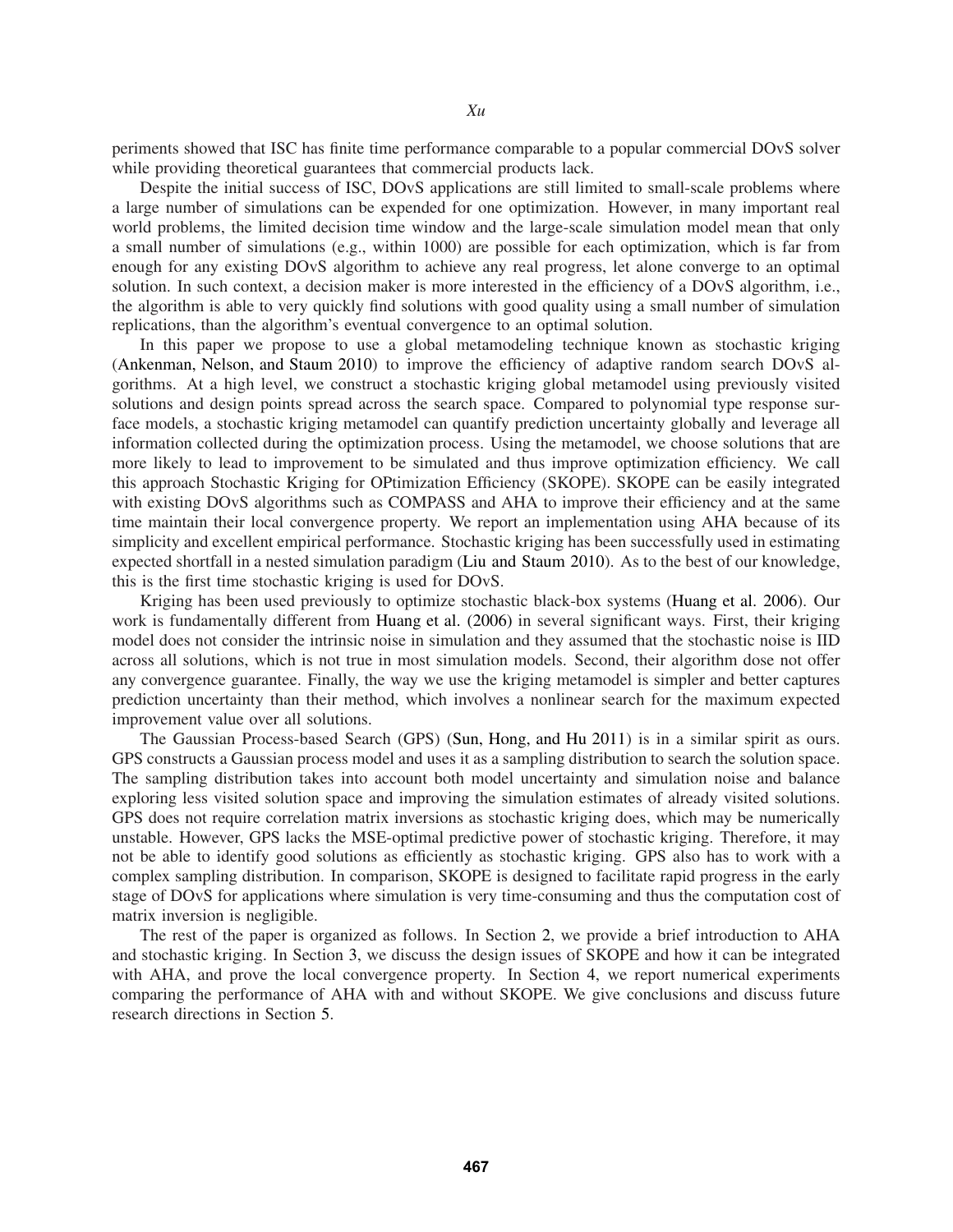periments showed that ISC has finite time performance comparable to a popular commercial DOvS solver while providing theoretical guarantees that commercial products lack.

Despite the initial success of ISC, DOvS applications are still limited to small-scale problems where a large number of simulations can be expended for one optimization. However, in many important real world problems, the limited decision time window and the large-scale simulation model mean that only a small number of simulations (e.g., within 1000) are possible for each optimization, which is far from enough for any existing DOvS algorithm to achieve any real progress, let alone converge to an optimal solution. In such context, a decision maker is more interested in the efficiency of a DOvS algorithm, i.e., the algorithm is able to very quickly find solutions with good quality using a small number of simulation replications, than the algorithm's eventual convergence to an optimal solution.

In this paper we propose to use a global metamodeling technique known as stochastic kriging (Ankenman, Nelson, and Staum 2010) to improve the efficiency of adaptive random search DOvS algorithms. At a high level, we construct a stochastic kriging global metamodel using previously visited solutions and design points spread across the search space. Compared to polynomial type response surface models, a stochastic kriging metamodel can quantify prediction uncertainty globally and leverage all information collected during the optimization process. Using the metamodel, we choose solutions that are more likely to lead to improvement to be simulated and thus improve optimization efficiency. We call this approach Stochastic Kriging for OPtimization Efficiency (SKOPE). SKOPE can be easily integrated with existing DOvS algorithms such as COMPASS and AHA to improve their efficiency and at the same time maintain their local convergence property. We report an implementation using AHA because of its simplicity and excellent empirical performance. Stochastic kriging has been successfully used in estimating expected shortfall in a nested simulation paradigm (Liu and Staum 2010). As to the best of our knowledge, this is the first time stochastic kriging is used for DOvS.

Kriging has been used previously to optimize stochastic black-box systems (Huang et al. 2006). Our work is fundamentally different from Huang et al. (2006) in several significant ways. First, their kriging model does not consider the intrinsic noise in simulation and they assumed that the stochastic noise is IID across all solutions, which is not true in most simulation models. Second, their algorithm dose not offer any convergence guarantee. Finally, the way we use the kriging metamodel is simpler and better captures prediction uncertainty than their method, which involves a nonlinear search for the maximum expected improvement value over all solutions.

The Gaussian Process-based Search (GPS) (Sun, Hong, and Hu 2011) is in a similar spirit as ours. GPS constructs a Gaussian process model and uses it as a sampling distribution to search the solution space. The sampling distribution takes into account both model uncertainty and simulation noise and balance exploring less visited solution space and improving the simulation estimates of already visited solutions. GPS does not require correlation matrix inversions as stochastic kriging does, which may be numerically unstable. However, GPS lacks the MSE-optimal predictive power of stochastic kriging. Therefore, it may not be able to identify good solutions as efficiently as stochastic kriging. GPS also has to work with a complex sampling distribution. In comparison, SKOPE is designed to facilitate rapid progress in the early stage of DOvS for applications where simulation is very time-consuming and thus the computation cost of matrix inversion is negligible.

The rest of the paper is organized as follows. In Section 2, we provide a brief introduction to AHA and stochastic kriging. In Section 3, we discuss the design issues of SKOPE and how it can be integrated with AHA, and prove the local convergence property. In Section 4, we report numerical experiments comparing the performance of AHA with and without SKOPE. We give conclusions and discuss future research directions in Section 5.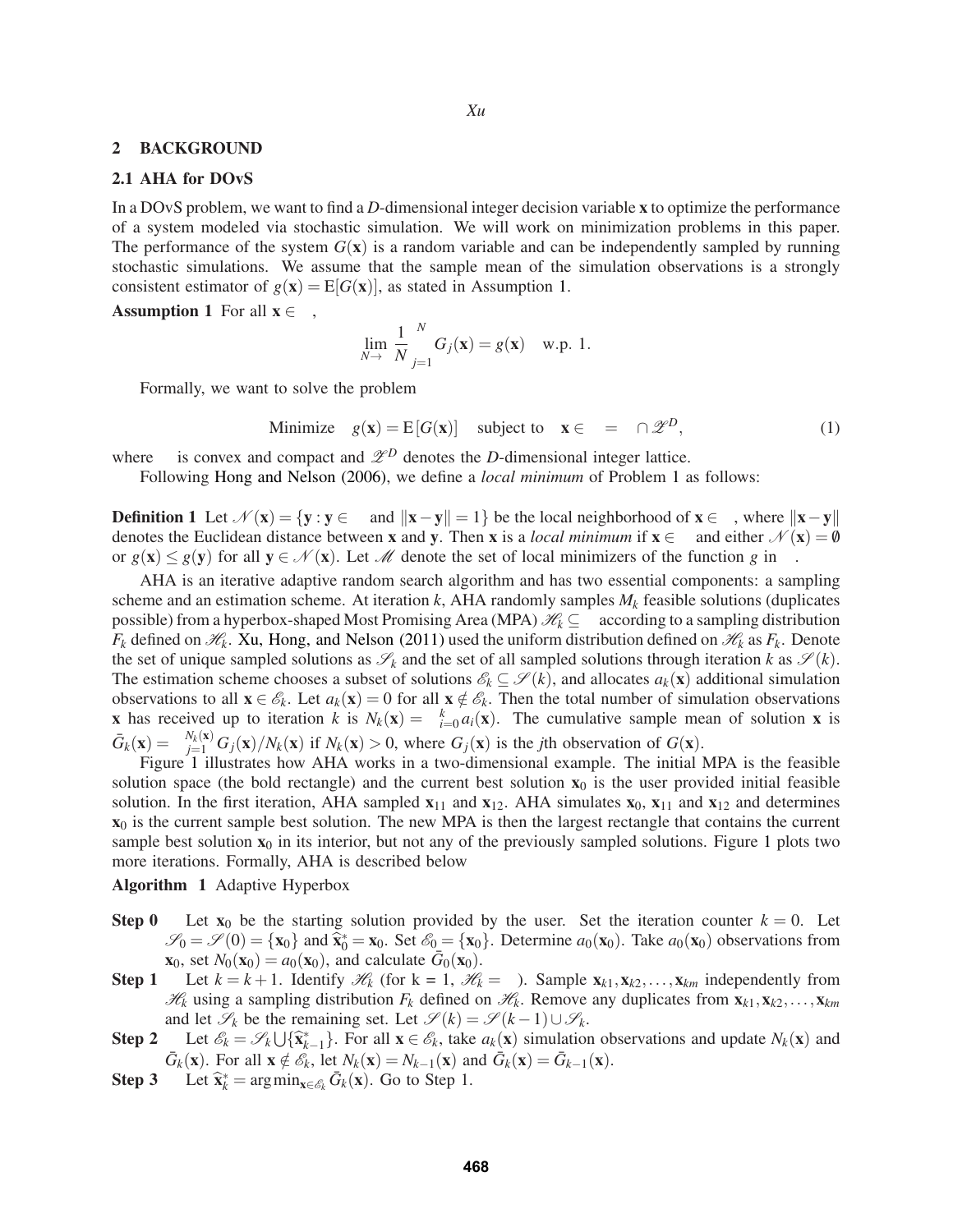#### **2 BACKGROUND**

### **2.1 AHA for DOvS**

In a DOvS problem, we want to find a *D*-dimensional integer decision variable **x** to optimize the performance of a system modeled via stochastic simulation. We will work on minimization problems in this paper. The performance of the system  $G(\mathbf{x})$  is a random variable and can be independently sampled by running stochastic simulations. We assume that the sample mean of the simulation observations is a strongly consistent estimator of  $g(\mathbf{x}) = E[G(\mathbf{x})]$ , as stated in Assumption 1.

**Assumption 1** For all  $x \in \Theta$ ,

$$
\lim_{N \to \infty} \frac{1}{N} \sum_{j=1}^{N} G_j(\mathbf{x}) = g(\mathbf{x}) \quad \text{w.p. 1.}
$$

Formally, we want to solve the problem

Minimize 
$$
g(\mathbf{x}) = E[G(\mathbf{x})]
$$
 subject to  $\mathbf{x} \in \Theta = \Phi \cap \mathcal{Z}^D$ , (1)

where  $\Phi$  is convex and compact and  $\mathscr{L}^D$  denotes the *D*-dimensional integer lattice.

Following Hong and Nelson (2006), we define a *local minimum* of Problem 1 as follows:

**Definition 1** Let  $\mathcal{N}(\mathbf{x}) = \{ \mathbf{y} : \mathbf{y} \in \Theta \text{ and } ||\mathbf{x} - \mathbf{y}|| = 1 \}$  be the local neighborhood of  $\mathbf{x} \in \Theta$ , where  $||\mathbf{x} - \mathbf{y}||$ denotes the Euclidean distance between **x** and **y**. Then **x** is a *local minimum* if  $\mathbf{x} \in \Theta$  and either  $\mathcal{N}(\mathbf{x}) = \emptyset$ or  $g(\mathbf{x}) \leq g(\mathbf{y})$  for all  $\mathbf{y} \in \mathcal{N}(\mathbf{x})$ . Let M denote the set of local minimizers of the function *g* in  $\Theta$ .

AHA is an iterative adaptive random search algorithm and has two essential components: a sampling scheme and an estimation scheme. At iteration *k*, AHA randomly samples *M<sup>k</sup>* feasible solutions (duplicates possible) from a hyperbox-shaped Most Promising Area (MPA) H*<sup>k</sup>* ⊆ Θ according to a sampling distribution  $F_k$  defined on  $\mathcal{H}_k$ . Xu, Hong, and Nelson (2011) used the uniform distribution defined on  $\mathcal{H}_k$  as  $F_k$ . Denote the set of unique sampled solutions as  $\mathscr{S}_k$  and the set of all sampled solutions through iteration *k* as  $\mathscr{S}(k)$ . The estimation scheme chooses a subset of solutions  $\mathscr{E}_k \subseteq \mathscr{S}(k)$ , and allocates  $a_k(\mathbf{x})$  additional simulation observations to all  $\mathbf{x} \in \mathcal{E}_k$ . Let  $a_k(\mathbf{x}) = 0$  for all  $\mathbf{x} \notin \mathcal{E}_k$ . Then the total number of simulation observations **x** has received up to iteration *k* is  $N_k(\mathbf{x}) = \sum_{i=0}^k a_i(\mathbf{x})$ . The cumulative sample mean of solution **x** is  $\bar{G}_k(\mathbf{x}) = \sum_{j=1}^{N_k(\mathbf{x})} G_j(\mathbf{x})/N_k(\mathbf{x})$  if  $N_k(\mathbf{x}) > 0$ , where  $G_j(\mathbf{x})$  is the *j*th observation of  $G(\mathbf{x})$ .

Figure  $1$  illustrates how AHA works in a two-dimensional example. The initial MPA is the feasible solution space (the bold rectangle) and the current best solution **x**<sup>0</sup> is the user provided initial feasible solution. In the first iteration, AHA sampled  $\mathbf{x}_{11}$  and  $\mathbf{x}_{12}$ . AHA simulates  $\mathbf{x}_0$ ,  $\mathbf{x}_{11}$  and  $\mathbf{x}_{12}$  and determines  $x<sub>0</sub>$  is the current sample best solution. The new MPA is then the largest rectangle that contains the current sample best solution  $\mathbf{x}_0$  in its interior, but not any of the previously sampled solutions. Figure 1 plots two more iterations. Formally, AHA is described below

**Algorithm 1** Adaptive Hyperbox

- **Step 0** Let  $\mathbf{x}_0$  be the starting solution provided by the user. Set the iteration counter  $k = 0$ . Let  $\mathscr{S}_0 = \mathscr{S}(0) = {\mathbf{x}_0}$  and  $\tilde{\mathbf{x}}_0^* = \mathbf{x}_0$ . Set  $\mathscr{E}_0 = {\mathbf{x}_0}$ . Determine  $a_0(\mathbf{x}_0)$ . Take  $a_0(\mathbf{x}_0)$  observations from **x**<sub>0</sub>, set  $N_0(\mathbf{x}_0) = a_0(\mathbf{x}_0)$ , and calculate  $\bar{G}_0(\mathbf{x}_0)$ .
- **Step 1** Let  $k = k + 1$ . Identify  $\mathcal{H}_k$  (for  $k = 1$ ,  $\mathcal{H}_k = \Theta$ ). Sample  $\mathbf{x}_{k1}, \mathbf{x}_{k2}, \dots, \mathbf{x}_{km}$  independently from  $\mathcal{H}_k$  using a sampling distribution  $F_k$  defined on  $\mathcal{H}_k$ . Remove any duplicates from  $\mathbf{x}_{k1}, \mathbf{x}_{k2}, \ldots, \mathbf{x}_{km}$ and let  $\mathscr{S}_k$  be the remaining set. Let  $\mathscr{S}(k) = \mathscr{S}(k-1) \cup \mathscr{S}_k$ .
- **Step 2** Let  $\mathcal{E}_k = \mathcal{S}_k \cup \{\hat{\mathbf{x}}_{k-1}^*\}$ . For all  $\mathbf{x} \in \mathcal{E}_k$ , take  $a_k(\mathbf{x})$  simulation observations and update  $N_k(\mathbf{x})$  and  $\bar{G}_k(\mathbf{x})$ . For all  $\mathbf{x} \notin \mathcal{E}_k$ , let  $N_k(\mathbf{x}) = N_{k-1}(\mathbf{x})$  and  $\bar{G}_k(\mathbf{x}) = \bar{G}_{k-1}(\mathbf{x})$ .
- **Step 3** Let  $\hat{\mathbf{x}}_k^* = \arg \min_{\mathbf{x} \in \mathcal{E}_k} \bar{G}_k(\mathbf{x})$ . Go to Step 1.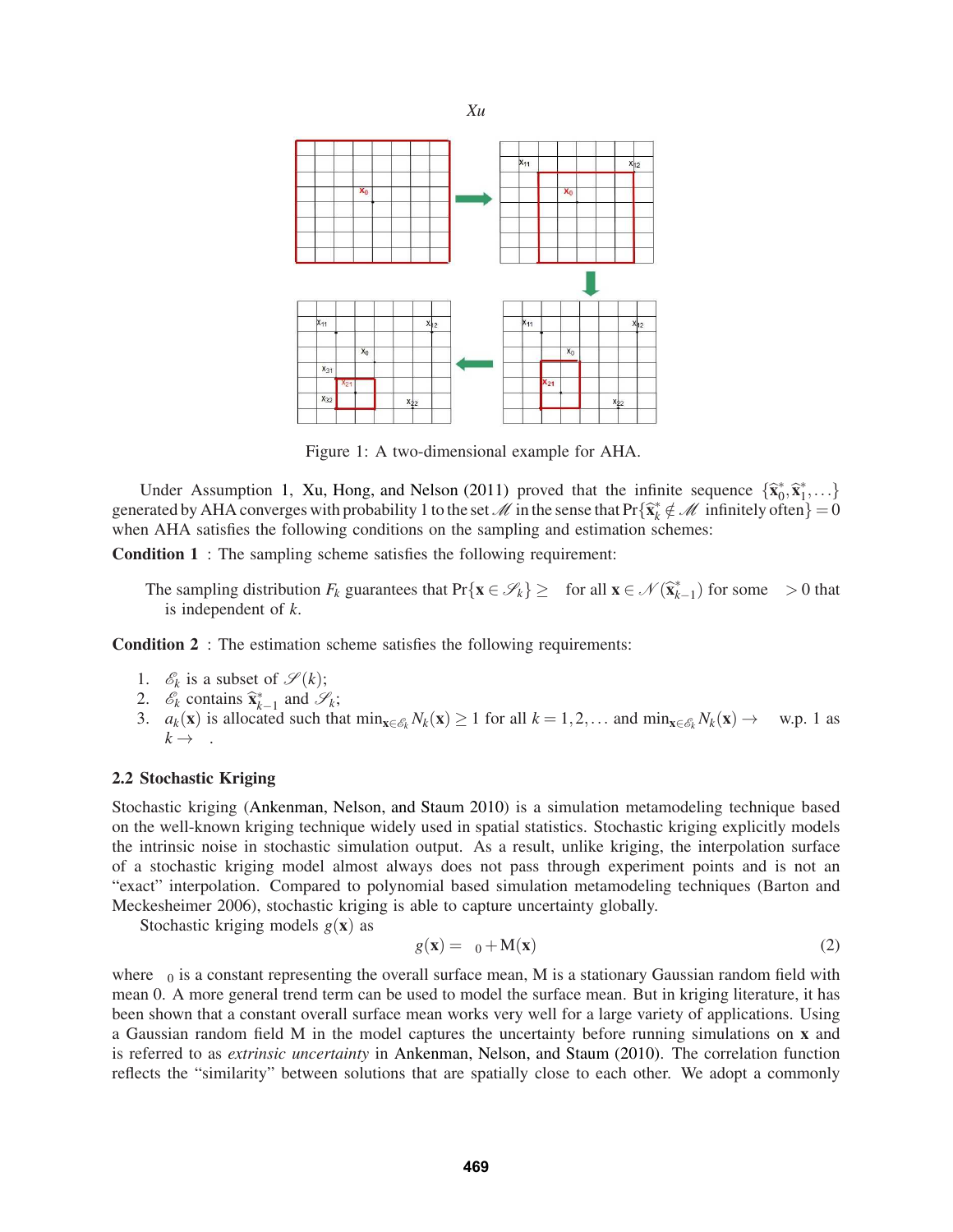

Figure 1: A two-dimensional example for AHA.

Under Assumption 1, Xu, Hong, and Nelson (2011) proved that the infinite sequence  $\{\hat{\mathbf{x}}_0^*, \hat{\mathbf{x}}_1^*, \ldots\}$ generated by AHA converges with probability 1 to the set M in the sense that  $Pr{\{\hat{\mathbf{x}}_k^* \notin \mathcal{M} \text{ infinitely often}\}} = 0$ when AHA satisfies the following conditions on the sampling and estimation schemes:

**Condition 1** : The sampling scheme satisfies the following requirement:

The sampling distribution  $F_k$  guarantees that  $\Pr{\mathbf{x} \in \mathcal{S}_k} \ge \varepsilon$  for all  $\mathbf{x} \in \mathcal{N}(\hat{\mathbf{x}}_{k-1}^*)$  for some  $\varepsilon > 0$  that is independent of *k*.

**Condition 2** : The estimation scheme satisfies the following requirements:

- 1.  $\mathscr{E}_k$  is a subset of  $\mathscr{S}(k)$ ;
- 2.  $\mathscr{E}_k$  contains  $\hat{\mathbf{x}}_{k-1}^*$  and  $\mathscr{S}_k$ ;
- 3. *a<sub>k</sub>*(**x**) is allocated such that  $\min_{\mathbf{x} \in \mathcal{E}_k} N_k(\mathbf{x}) \ge 1$  for all  $k = 1, 2, \dots$  and  $\min_{\mathbf{x} \in \mathcal{E}_k} N_k(\mathbf{x}) \to \infty$  w.p. 1 as  $k \rightarrow \infty$ .

## **2.2 Stochastic Kriging**

Stochastic kriging (Ankenman, Nelson, and Staum 2010) is a simulation metamodeling technique based on the well-known kriging technique widely used in spatial statistics. Stochastic kriging explicitly models the intrinsic noise in stochastic simulation output. As a result, unlike kriging, the interpolation surface of a stochastic kriging model almost always does not pass through experiment points and is not an "exact" interpolation. Compared to polynomial based simulation metamodeling techniques (Barton and Meckesheimer 2006), stochastic kriging is able to capture uncertainty globally.

Stochastic kriging models  $g(x)$  as

$$
g(\mathbf{x}) = \beta_0 + \mathbf{M}(\mathbf{x})
$$
 (2)

where  $\beta_0$  is a constant representing the overall surface mean, M is a stationary Gaussian random field with mean 0. A more general trend term can be used to model the surface mean. But in kriging literature, it has been shown that a constant overall surface mean works very well for a large variety of applications. Using a Gaussian random field M in the model captures the uncertainty before running simulations on **x** and is referred to as *extrinsic uncertainty* in Ankenman, Nelson, and Staum (2010). The correlation function reflects the "similarity" between solutions that are spatially close to each other. We adopt a commonly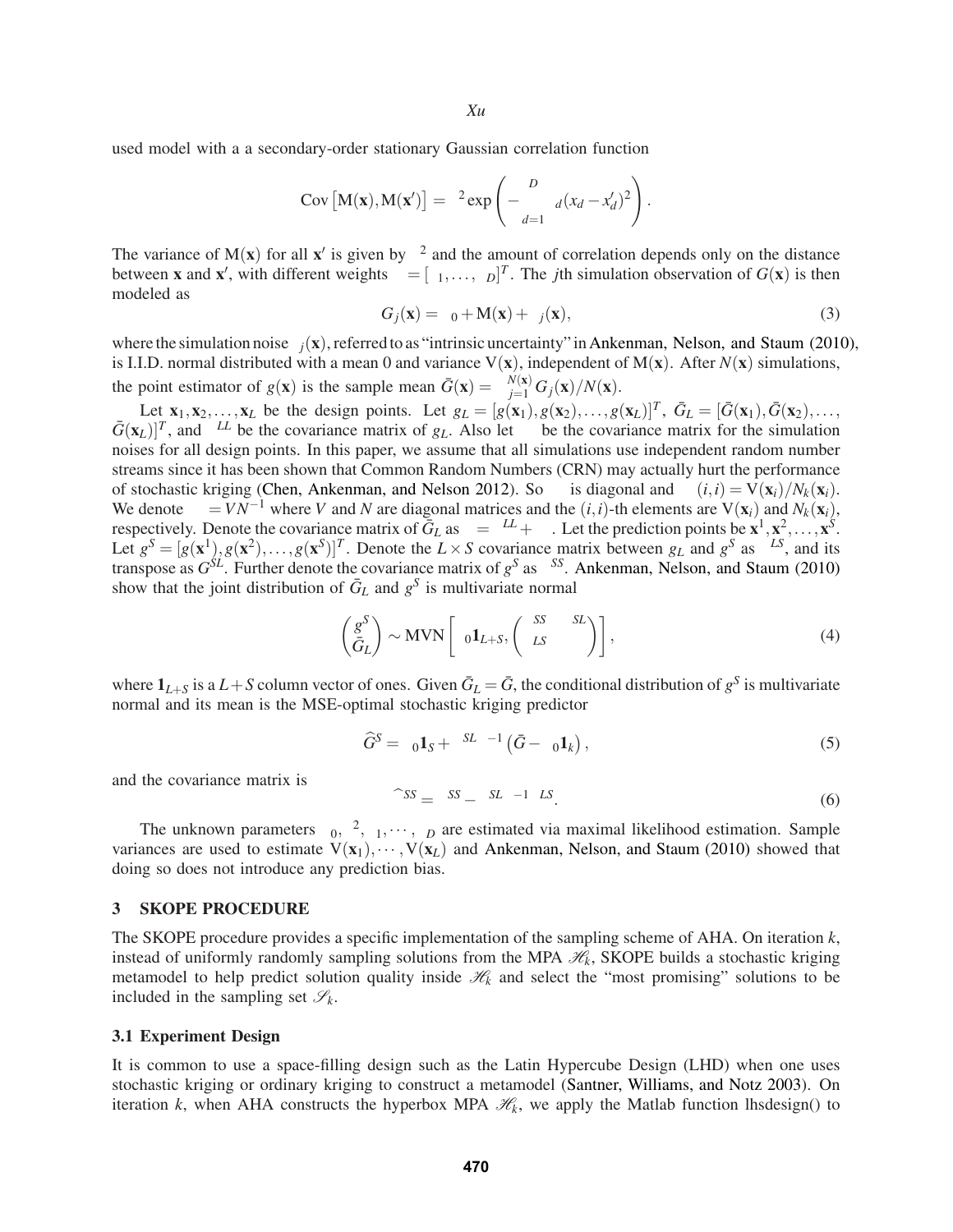used model with a a secondary-order stationary Gaussian correlation function

$$
Cov [M(\mathbf{x}), M(\mathbf{x}')] = \tau^2 exp \left(-\sum_{d=1}^D \theta_d (x_d - x'_d)^2\right).
$$

The variance of  $M(x)$  for all x' is given by  $\tau^2$  and the amount of correlation depends only on the distance between **x** and **x**', with different weights  $\theta = [\theta_1, \dots, \theta_D]^T$ . The *j*th simulation observation of  $G(\mathbf{x})$  is then modeled as

$$
G_j(\mathbf{x}) = \beta_0 + \mathbf{M}(\mathbf{x}) + \varepsilon_j(\mathbf{x}),\tag{3}
$$

where the simulation noise  $\varepsilon_i(\mathbf{x})$ , referred to as "intrinsic uncertainty" in Ankenman, Nelson, and Staum (2010), is I.I.D. normal distributed with a mean 0 and variance  $V(x)$ , independent of  $M(x)$ . After  $N(x)$  simulations, the point estimator of  $g(\mathbf{x})$  is the sample mean  $\bar{G}(\mathbf{x}) = \sum_{j=1}^{N(\mathbf{x})} G_j(\mathbf{x})/N(\mathbf{x})$ .

Let  $\mathbf{x}_1, \mathbf{x}_2, \dots, \mathbf{x}_L$  be the design points. Let  $g_L = [g(\mathbf{x}_1), g(\mathbf{x}_2), \dots, g(\mathbf{x}_L)]^T$ ,  $\bar{G}_L = [\bar{G}(\mathbf{x}_1), \bar{G}(\mathbf{x}_2), \dots,$  $\bar{G}(\mathbf{x}_L)$ <sup>T</sup>, and  $\Sigma^{LL}$  be the covariance matrix of  $g_L$ . Also let  $\Sigma_{\varepsilon}$  be the covariance matrix for the simulation noises for all design points. In this paper, we assume that all simulations use independent random number streams since it has been shown that Common Random Numbers (CRN) may actually hurt the performance of stochastic kriging (Chen, Ankenman, and Nelson 2012). So  $\Sigma_{\varepsilon}$  is diagonal and  $\Sigma_{\varepsilon}(i,i) = V(\mathbf{x}_i)/N_k(\mathbf{x}_i)$ . We denote  $\Sigma_{\varepsilon} = VN^{-1}$  where *V* and *N* are diagonal matrices and the  $(i, i)$ -th elements are  $V(\mathbf{x}_i)$  and  $N_k(\mathbf{x}_i)$ , respectively. Denote the covariance matrix of  $\bar{G}_L$  as  $\Sigma = \Sigma^{LL} + \Sigma_{\varepsilon}$ . Let the prediction points be  $\mathbf{x}^1, \mathbf{x}^2, \ldots, \mathbf{x}^S$ . Let  $g^S = [g(\mathbf{x}^1), g(\mathbf{x}^2), \dots, g(\mathbf{x}^S)]^T$ . Denote the  $L \times S$  covariance matrix between  $g_L$  and  $g^S$  as  $\Sigma^{LS}$ , and its transpose as  $G^{SL}$ . Further denote the covariance matrix of  $g^S$  as  $\Sigma^{SS}$ . Ankenman, Nelson, and Staum (2010) show that the joint distribution of  $\bar{G}_L$  and  $g^S$  is multivariate normal

$$
\begin{pmatrix} g^S \\ \bar{G}_L \end{pmatrix} \sim \text{MVN} \left[ \beta_0 \mathbf{1}_{L+S}, \begin{pmatrix} \Sigma^{SS} & \Sigma^{SL} \\ \Sigma^{LS} & \Sigma \end{pmatrix} \right],\tag{4}
$$

where  $1_{L+S}$  is a  $L+S$  column vector of ones. Given  $\bar{G}_L = \bar{G}$ , the conditional distribution of  $g^S$  is multivariate normal and its mean is the MSE-optimal stochastic kriging predictor

$$
\widehat{G}^{S} = \beta_0 \mathbf{1}_S + \Sigma^{SL} \Sigma^{-1} \left( \bar{G} - \beta_0 \mathbf{1}_k \right),\tag{5}
$$

and the covariance matrix is

$$
\widehat{\Sigma}^{SS} = \Sigma^{SS} - \Sigma^{SL} \Sigma^{-1} \Sigma^{LS}.
$$
\n(6)

The unknown parameters  $\beta_0, \tau^2, \theta_1, \dots, \theta_D$  are estimated via maximal likelihood estimation. Sample variances are used to estimate  $V(\mathbf{x}_1), \dots, V(\mathbf{x}_L)$  and Ankenman, Nelson, and Staum (2010) showed that doing so does not introduce any prediction bias.

#### **3 SKOPE PROCEDURE**

The SKOPE procedure provides a specific implementation of the sampling scheme of AHA. On iteration *k*, instead of uniformly randomly sampling solutions from the MPA  $\mathcal{H}_k$ , SKOPE builds a stochastic kriging metamodel to help predict solution quality inside  $\mathcal{H}_k$  and select the "most promising" solutions to be included in the sampling set  $\mathscr{S}_k$ .

### **3.1 Experiment Design**

It is common to use a space-filling design such as the Latin Hypercube Design (LHD) when one uses stochastic kriging or ordinary kriging to construct a metamodel (Santner, Williams, and Notz 2003). On iteration  $k$ , when AHA constructs the hyperbox MPA  $\mathcal{H}_k$ , we apply the Matlab function lhsdesign() to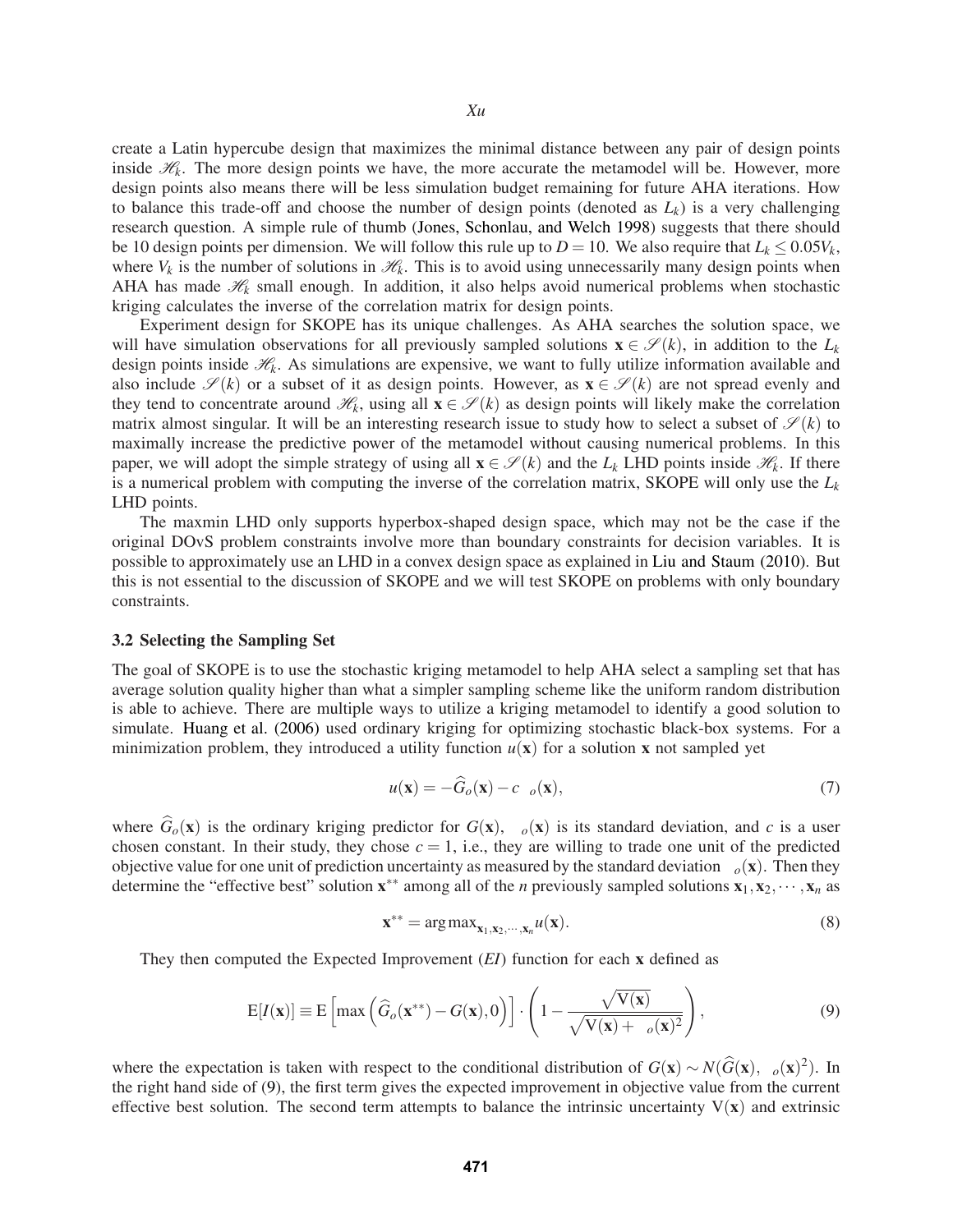create a Latin hypercube design that maximizes the minimal distance between any pair of design points inside  $\mathcal{H}_k$ . The more design points we have, the more accurate the metamodel will be. However, more design points also means there will be less simulation budget remaining for future AHA iterations. How to balance this trade-off and choose the number of design points (denoted as  $L_k$ ) is a very challenging research question. A simple rule of thumb (Jones, Schonlau, and Welch 1998) suggests that there should be 10 design points per dimension. We will follow this rule up to  $D = 10$ . We also require that  $L_k \leq 0.05V_k$ , where  $V_k$  is the number of solutions in  $\mathcal{H}_k$ . This is to avoid using unnecessarily many design points when AHA has made  $\mathcal{H}_k$  small enough. In addition, it also helps avoid numerical problems when stochastic kriging calculates the inverse of the correlation matrix for design points.

Experiment design for SKOPE has its unique challenges. As AHA searches the solution space, we will have simulation observations for all previously sampled solutions  $\mathbf{x} \in \mathcal{S}(k)$ , in addition to the  $L_k$ design points inside  $\mathcal{H}_k$ . As simulations are expensive, we want to fully utilize information available and also include  $\mathscr{S}(k)$  or a subset of it as design points. However, as  $\mathbf{x} \in \mathscr{S}(k)$  are not spread evenly and they tend to concentrate around  $\mathcal{H}_k$ , using all  $\mathbf{x} \in \mathcal{S}(k)$  as design points will likely make the correlation matrix almost singular. It will be an interesting research issue to study how to select a subset of  $\mathscr{S}(k)$  to maximally increase the predictive power of the metamodel without causing numerical problems. In this paper, we will adopt the simple strategy of using all  $\mathbf{x} \in \mathcal{S}(k)$  and the  $L_k$  LHD points inside  $\mathcal{H}_k$ . If there is a numerical problem with computing the inverse of the correlation matrix, SKOPE will only use the  $L_k$ LHD points.

The maxmin LHD only supports hyperbox-shaped design space, which may not be the case if the original DOvS problem constraints involve more than boundary constraints for decision variables. It is possible to approximately use an LHD in a convex design space as explained in Liu and Staum (2010). But this is not essential to the discussion of SKOPE and we will test SKOPE on problems with only boundary constraints.

#### **3.2 Selecting the Sampling Set**

The goal of SKOPE is to use the stochastic kriging metamodel to help AHA select a sampling set that has average solution quality higher than what a simpler sampling scheme like the uniform random distribution is able to achieve. There are multiple ways to utilize a kriging metamodel to identify a good solution to simulate. Huang et al. (2006) used ordinary kriging for optimizing stochastic black-box systems. For a minimization problem, they introduced a utility function  $u(\mathbf{x})$  for a solution **x** not sampled yet

$$
u(\mathbf{x}) = -\widehat{G}_o(\mathbf{x}) - c\sigma_o(\mathbf{x}),\tag{7}
$$

where  $\hat{G}_{\rho}(\mathbf{x})$  is the ordinary kriging predictor for  $G(\mathbf{x})$ ,  $\sigma_{\rho}(\mathbf{x})$  is its standard deviation, and *c* is a user chosen constant. In their study, they chose  $c = 1$ , i.e., they are willing to trade one unit of the predicted objective value for one unit of prediction uncertainty as measured by the standard deviation  $\sigma$ <sub>o</sub>(**x**). Then they determine the "effective best" solution  $\mathbf{x}^{**}$  among all of the *n* previously sampled solutions  $\mathbf{x}_1, \mathbf{x}_2, \dots, \mathbf{x}_n$  as

$$
\mathbf{x}^{**} = \arg \max_{\mathbf{x}_1, \mathbf{x}_2, \cdots, \mathbf{x}_n} u(\mathbf{x}).\tag{8}
$$

They then computed the Expected Improvement (*EI*) function for each **x** defined as

$$
E[I(\mathbf{x})] \equiv E\left[\max\left(\widehat{G}_o(\mathbf{x}^{**}) - G(\mathbf{x}), 0\right)\right] \cdot \left(1 - \frac{\sqrt{V(\mathbf{x})}}{\sqrt{V(\mathbf{x}) + \sigma_o(\mathbf{x})^2}}\right),\tag{9}
$$

where the expectation is taken with respect to the conditional distribution of  $G(\mathbf{x}) \sim N(\widehat{G}(\mathbf{x}), \sigma_o(\mathbf{x})^2)$ . In the right hand side of (9), the first term gives the expected improvement in objective value from the current effective best solution. The second term attempts to balance the intrinsic uncertainty  $V(x)$  and extrinsic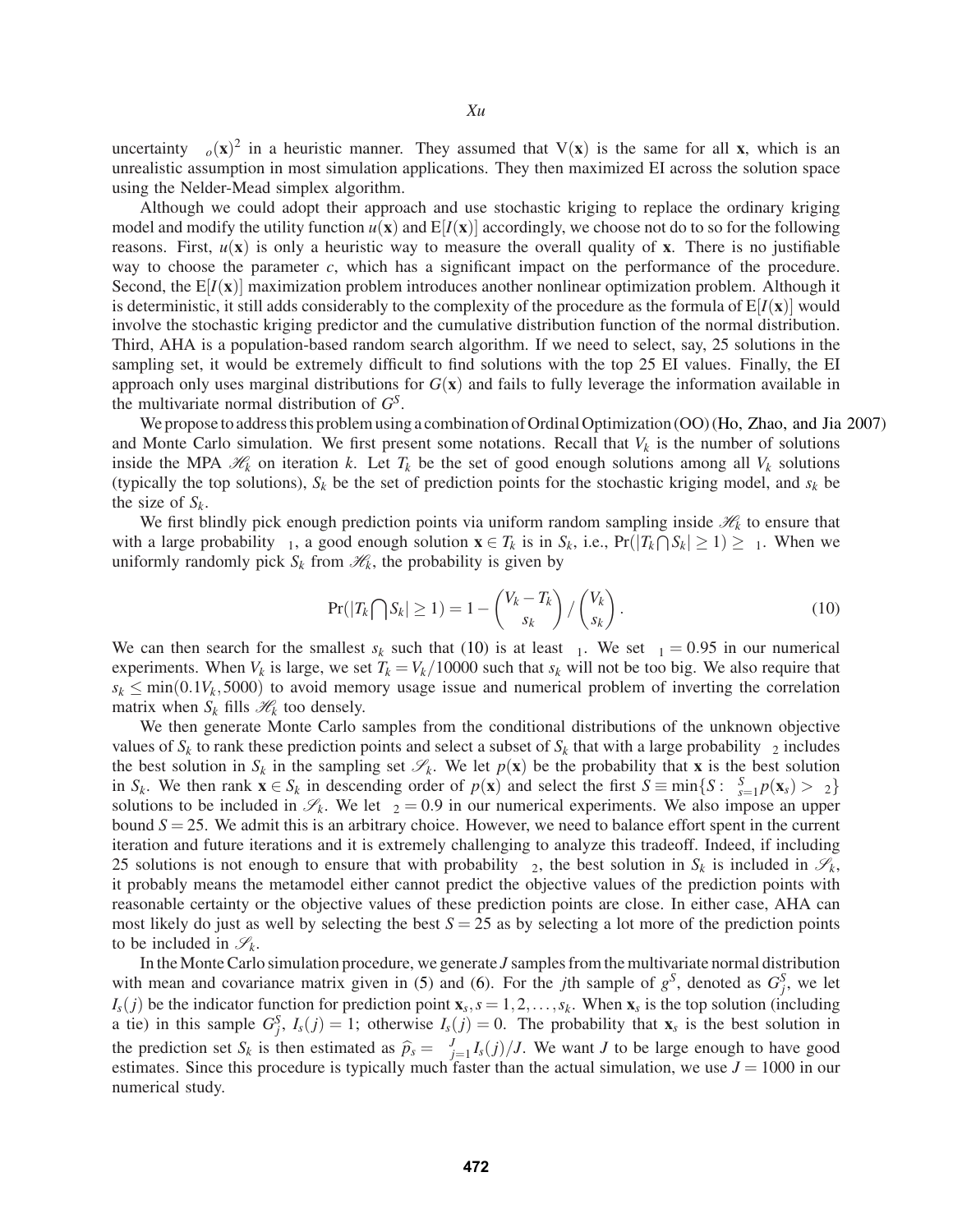uncertainty  $\sigma_o(x)^2$  in a heuristic manner. They assumed that  $V(x)$  is the same for all **x**, which is an unrealistic assumption in most simulation applications. They then maximized EI across the solution space using the Nelder-Mead simplex algorithm.

Although we could adopt their approach and use stochastic kriging to replace the ordinary kriging model and modify the utility function  $u(\mathbf{x})$  and  $E[I(\mathbf{x})]$  accordingly, we choose not do to so for the following reasons. First,  $u(\mathbf{x})$  is only a heuristic way to measure the overall quality of **x**. There is no justifiable way to choose the parameter *c*, which has a significant impact on the performance of the procedure. Second, the  $E[I(x)]$  maximization problem introduces another nonlinear optimization problem. Although it is deterministic, it still adds considerably to the complexity of the procedure as the formula of  $E[I(x)]$  would involve the stochastic kriging predictor and the cumulative distribution function of the normal distribution. Third, AHA is a population-based random search algorithm. If we need to select, say, 25 solutions in the sampling set, it would be extremely difficult to find solutions with the top 25 EI values. Finally, the EI approach only uses marginal distributions for  $G(x)$  and fails to fully leverage the information available in the multivariate normal distribution of  $G^S$ .

We propose to address this problem using a combination of Ordinal Optimization (OO) (Ho, Zhao, and Jia 2007) and Monte Carlo simulation. We first present some notations. Recall that  $V_k$  is the number of solutions inside the MPA  $\mathcal{H}_k$  on iteration *k*. Let  $T_k$  be the set of good enough solutions among all  $V_k$  solutions (typically the top solutions),  $S_k$  be the set of prediction points for the stochastic kriging model, and  $s_k$  be the size of  $S_k$ .

We first blindly pick enough prediction points via uniform random sampling inside  $\mathcal{H}_k$  to ensure that with a large probability  $\gamma_1$ , a good enough solution  $\mathbf{x} \in T_k$  is in  $S_k$ , i.e.,  $Pr(|T_k \cap S_k| \ge 1) \ge \gamma_1$ . When we uniformly randomly pick  $S_k$  from  $\mathcal{H}_k$ , the probability is given by

$$
\Pr(|T_k \cap S_k| \ge 1) = 1 - \binom{V_k - T_k}{s_k} / \binom{V_k}{s_k}.
$$
\n(10)

We can then search for the smallest  $s_k$  such that (10) is at least  $\gamma_1$ . We set  $\gamma_1 = 0.95$  in our numerical experiments. When  $V_k$  is large, we set  $T_k = V_k/10000$  such that  $s_k$  will not be too big. We also require that  $s_k \leq \min(0.1V_k, 5000)$  to avoid memory usage issue and numerical problem of inverting the correlation matrix when  $S_k$  fills  $\mathcal{H}_k$  too densely.

We then generate Monte Carlo samples from the conditional distributions of the unknown objective values of  $S_k$  to rank these prediction points and select a subset of  $S_k$  that with a large probability  $\gamma_2$  includes the best solution in  $S_k$  in the sampling set  $\mathcal{S}_k$ . We let  $p(\mathbf{x})$  be the probability that **x** is the best solution in *S<sub>k</sub>*. We then rank  $\mathbf{x} \in S_k$  in descending order of  $p(\mathbf{x})$  and select the first  $S \equiv \min\{S : \sum_{s=1}^S p(\mathbf{x}_s) > \gamma_2\}$ solutions to be included in  $\mathscr{S}_k$ . We let  $\gamma_2 = 0.9$  in our numerical experiments. We also impose an upper bound  $S = 25$ . We admit this is an arbitrary choice. However, we need to balance effort spent in the current iteration and future iterations and it is extremely challenging to analyze this tradeoff. Indeed, if including 25 solutions is not enough to ensure that with probability  $\gamma_2$ , the best solution in  $S_k$  is included in  $\mathscr{S}_k$ , it probably means the metamodel either cannot predict the objective values of the prediction points with reasonable certainty or the objective values of these prediction points are close. In either case, AHA can most likely do just as well by selecting the best  $S = 25$  as by selecting a lot more of the prediction points to be included in  $\mathscr{S}_k$ .

In the Monte Carlo simulation procedure, we generate *J* samples from the multivariate normal distribution with mean and covariance matrix given in (5) and (6). For the *j*th sample of  $g^S$ , denoted as  $G_j^S$ , we let  $I_s(j)$  be the indicator function for prediction point  $\mathbf{x}_s$ ,  $s = 1, 2, \ldots, s_k$ . When  $\mathbf{x}_s$  is the top solution (including a tie) in this sample  $G_j^S$ ,  $I_s(j) = 1$ ; otherwise  $I_s(j) = 0$ . The probability that  $\mathbf{x}_s$  is the best solution in the prediction set  $S_k$  is then estimated as  $\hat{p}_s = \sum_{j=1}^J I_s(j)/J$ . We want *J* to be large enough to have good estimates. Since this procedure is typically much faster than the actual simulation, we use  $J = 1000$  in our numerical study.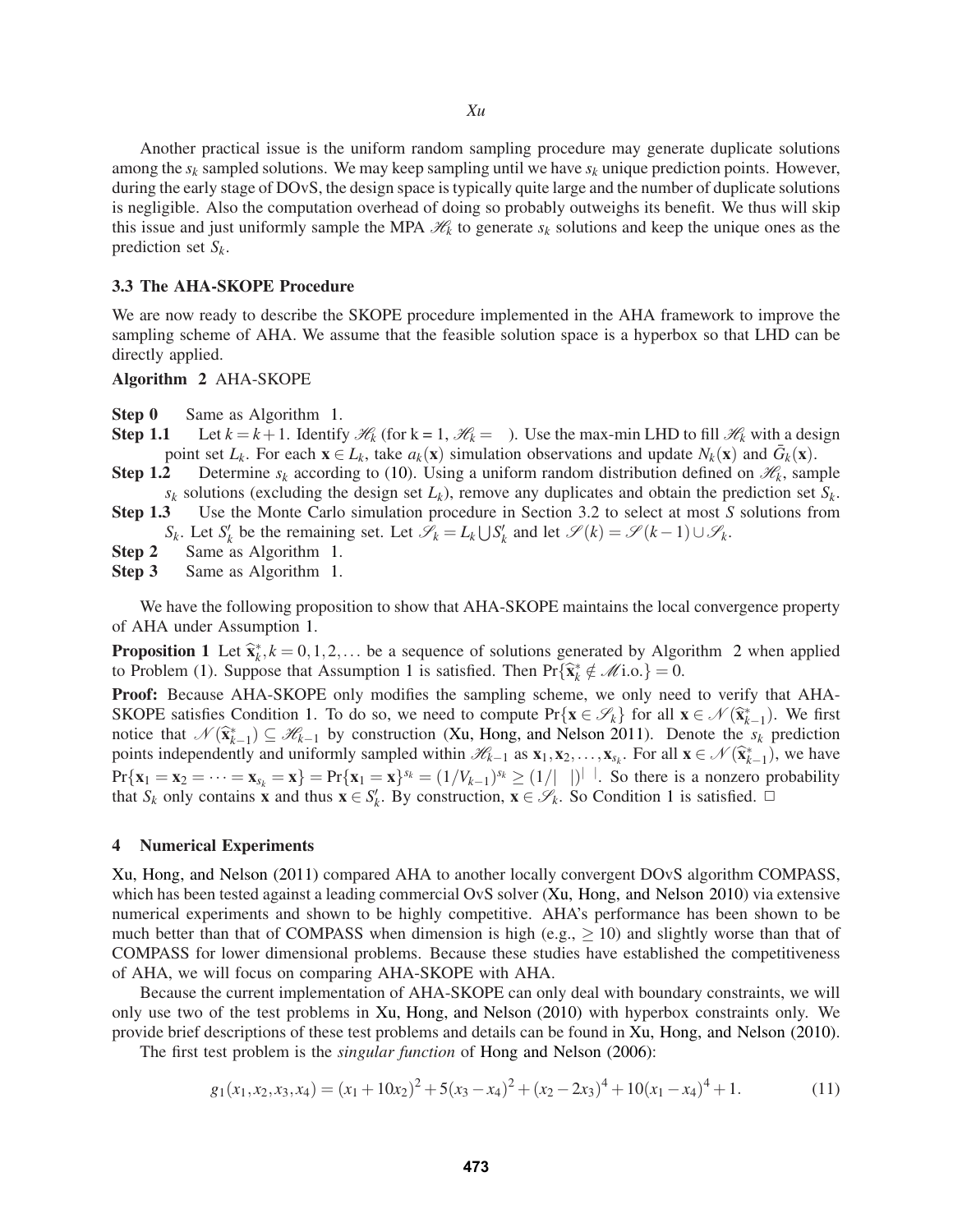Another practical issue is the uniform random sampling procedure may generate duplicate solutions among the  $s_k$  sampled solutions. We may keep sampling until we have  $s_k$  unique prediction points. However, during the early stage of DOvS, the design space is typically quite large and the number of duplicate solutions is negligible. Also the computation overhead of doing so probably outweighs its benefit. We thus will skip this issue and just uniformly sample the MPA  $\mathcal{H}_k$  to generate  $s_k$  solutions and keep the unique ones as the prediction set *Sk*.

#### **3.3 The AHA-SKOPE Procedure**

We are now ready to describe the SKOPE procedure implemented in the AHA framework to improve the sampling scheme of AHA. We assume that the feasible solution space is a hyperbox so that LHD can be directly applied.

### **Algorithm 2** AHA-SKOPE

- **Step 0** Same as Algorithm 1.
- **Step 1.1** Let  $k = k + 1$ . Identify  $\mathcal{H}_k$  (for  $k = 1$ ,  $\mathcal{H}_k = \Theta$ ). Use the max-min LHD to fill  $\mathcal{H}_k$  with a design point set  $L_k$ . For each  $\mathbf{x} \in L_k$ , take  $a_k(\mathbf{x})$  simulation observations and update  $N_k(\mathbf{x})$  and  $\bar{G}_k(\mathbf{x})$ .
- **Step 1.2** Determine  $s_k$  according to (10). Using a uniform random distribution defined on  $\mathcal{H}_k$ , sample  $s_k$  solutions (excluding the design set  $L_k$ ), remove any duplicates and obtain the prediction set  $S_k$ .
- **Step 1.3** Use the Monte Carlo simulation procedure in Section 3.2 to select at most *S* solutions from
- $S_k$ . Let  $S'_k$  be the remaining set. Let  $\mathscr{S}_k = L_k \cup S'_k$  and let  $\mathscr{S}(k) = \mathscr{S}(k-1) \cup \mathscr{S}_k$ .
- **Step 2** Same as Algorithm 1.
- **Step 3** Same as Algorithm 1.

We have the following proposition to show that AHA-SKOPE maintains the local convergence property of AHA under Assumption 1.

**Proposition 1** Let  $\hat{\mathbf{x}}_k^*, k = 0, 1, 2, \dots$  be a sequence of solutions generated by Algorithm 2 when applied to Pushkey (1) Suppose that Assumption 1 is estimated. Then  $\text{Pr}(\hat{\mathbf{x}} \neq \mathcal{M})$  and 2 to Problem (1). Suppose that Assumption 1 is satisfied. Then  $Pr{\{\hat{\mathbf{x}}_k^* \notin \mathcal{M} \text{ i.o.}\}} = 0$ .

**Proof:** Because AHA-SKOPE only modifies the sampling scheme, we only need to verify that AHA-SKOPE satisfies Condition 1. To do so, we need to compute Pr{ $\mathbf{x} \in \mathcal{S}_k$ } for all  $\mathbf{x} \in \mathcal{N}(\hat{\mathbf{x}}_{k-1}^*)$ . We first notice that  $\mathcal{N}(\hat{\mathbf{x}}_{k-1}^*) \subseteq \mathcal{H}_{k-1}$  by construction (Xu, Hong, and Nelson 2011). Denote the *s<sub>k</sub>* prediction points independently and uniformly sampled within  $\mathcal{H}_{k-1}$  as  $\mathbf{x}_1, \mathbf{x}_2, ..., \mathbf{x}_{s_k}$ . For all  $\mathbf{x} \in \mathcal{N}(\hat{\mathbf{x}}_{k-1}^*)$ , we have  $Pr{\mathbf{x}_1 = \mathbf{x}_2 = \dots = \mathbf{x}_{s_k} = \mathbf{x}} = Pr{\mathbf{x}_1 = \mathbf{x}}^{s_k} = (1/V_{k-1})^{s_k} \ge (1/|\Theta|)^{|\Theta|}$ . So there is a nonzero probability that  $S_k$  only contains **x** and thus  $\mathbf{x} \in S'_k$ . By construction,  $\mathbf{x} \in S'_k$ . So Condition 1 is satisfied.  $\Box$ 

### **4 Numerical Experiments**

Xu, Hong, and Nelson (2011) compared AHA to another locally convergent DOvS algorithm COMPASS, which has been tested against a leading commercial OvS solver (Xu, Hong, and Nelson 2010) via extensive numerical experiments and shown to be highly competitive. AHA's performance has been shown to be much better than that of COMPASS when dimension is high (e.g.,  $> 10$ ) and slightly worse than that of COMPASS for lower dimensional problems. Because these studies have established the competitiveness of AHA, we will focus on comparing AHA-SKOPE with AHA.

Because the current implementation of AHA-SKOPE can only deal with boundary constraints, we will only use two of the test problems in Xu, Hong, and Nelson (2010) with hyperbox constraints only. We provide brief descriptions of these test problems and details can be found in Xu, Hong, and Nelson (2010).

The first test problem is the *singular function* of Hong and Nelson (2006):

$$
g_1(x_1, x_2, x_3, x_4) = (x_1 + 10x_2)^2 + 5(x_3 - x_4)^2 + (x_2 - 2x_3)^4 + 10(x_1 - x_4)^4 + 1.
$$
 (11)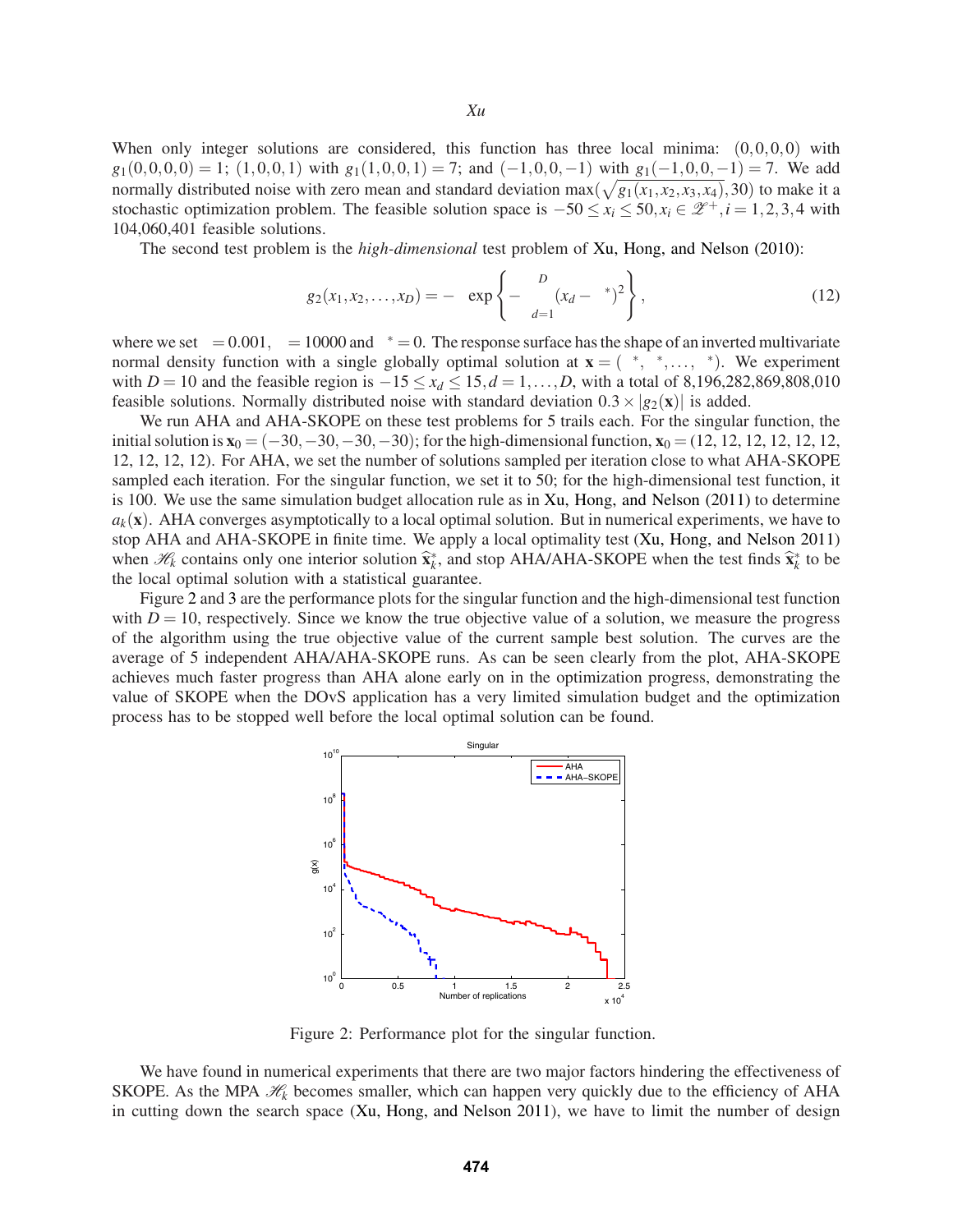When only integer solutions are considered, this function has three local minima:  $(0,0,0,0)$  with  $g_1(0,0,0,0) = 1$ ;  $(1,0,0,1)$  with  $g_1(1,0,0,1) = 7$ ; and  $(-1,0,0,-1)$  with  $g_1(-1,0,0,-1) = 7$ . We add normally distributed noise with zero mean and standard deviation  $max(\sqrt{g_1(x_1, x_2, x_3, x_4)}, 30)$  to make it a stochastic optimization problem. The feasible solution space is  $-50 \le x_i \le 50, x_i \in \mathcal{Z}^+, i = 1, 2, 3, 4$  with 104,060,401 feasible solutions.

The second test problem is the *high-dimensional* test problem of Xu, Hong, and Nelson (2010):

$$
g_2(x_1, x_2, \dots, x_D) = -\beta \exp\left\{-\gamma \sum_{d=1}^D (x_d - \xi^*)^2\right\},\tag{12}
$$

where we set  $\gamma = 0.001$ ,  $\beta = 10000$  and  $\xi^* = 0$ . The response surface has the shape of an inverted multivariate normal density function with a single globally optimal solution at  $\mathbf{x} = (\xi^*, \xi^*, \dots, \xi^*)$ . We experiment with *D* = 10 and the feasible region is  $-15 \le x_d \le 15$ ,  $d = 1, ..., D$ , with a total of 8,196,282,869,808,010 feasible solutions. Normally distributed noise with standard deviation  $0.3 \times |g_2(\mathbf{x})|$  is added.

We run AHA and AHA-SKOPE on these test problems for 5 trails each. For the singular function, the initial solution is  $\mathbf{x}_0 = (-30, -30, -30, -30)$ ; for the high-dimensional function,  $\mathbf{x}_0 = (12, 12, 12, 12, 12, 12, 12)$ 12, 12, 12, 12). For AHA, we set the number of solutions sampled per iteration close to what AHA-SKOPE sampled each iteration. For the singular function, we set it to 50; for the high-dimensional test function, it is 100. We use the same simulation budget allocation rule as in Xu, Hong, and Nelson (2011) to determine  $a_k(x)$ . AHA converges asymptotically to a local optimal solution. But in numerical experiments, we have to stop AHA and AHA-SKOPE in finite time. We apply a local optimality test (Xu, Hong, and Nelson 2011) when  $\mathcal{H}_k$  contains only one interior solution  $\hat{\mathbf{x}}_k^*$ , and stop AHA/AHA-SKOPE when the test finds  $\hat{\mathbf{x}}_k^*$  to be the local optimal solution with a statistical guarantee.

Figure 2 and 3 are the performance plots for the singular function and the high-dimensional test function with  $D = 10$ , respectively. Since we know the true objective value of a solution, we measure the progress of the algorithm using the true objective value of the current sample best solution. The curves are the average of 5 independent AHA/AHA-SKOPE runs. As can be seen clearly from the plot, AHA-SKOPE achieves much faster progress than AHA alone early on in the optimization progress, demonstrating the value of SKOPE when the DOvS application has a very limited simulation budget and the optimization process has to be stopped well before the local optimal solution can be found.



Figure 2: Performance plot for the singular function.

We have found in numerical experiments that there are two major factors hindering the effectiveness of SKOPE. As the MPA  $\mathcal{H}_k$  becomes smaller, which can happen very quickly due to the efficiency of AHA in cutting down the search space (Xu, Hong, and Nelson 2011), we have to limit the number of design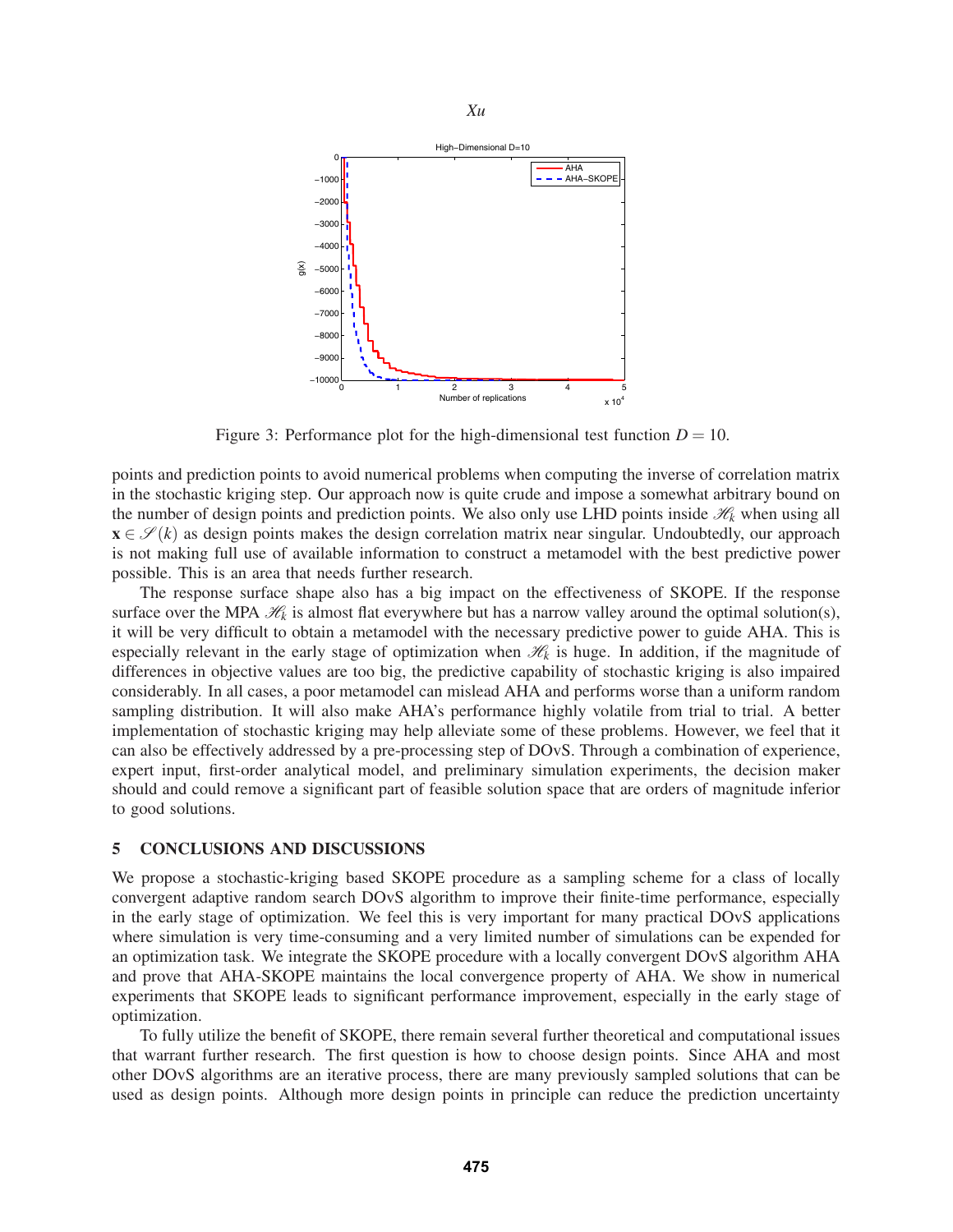

Figure 3: Performance plot for the high-dimensional test function  $D = 10$ .

points and prediction points to avoid numerical problems when computing the inverse of correlation matrix in the stochastic kriging step. Our approach now is quite crude and impose a somewhat arbitrary bound on the number of design points and prediction points. We also only use LHD points inside  $\mathcal{H}_k$  when using all  $\mathbf{x} \in \mathcal{S}(k)$  as design points makes the design correlation matrix near singular. Undoubtedly, our approach is not making full use of available information to construct a metamodel with the best predictive power possible. This is an area that needs further research.

The response surface shape also has a big impact on the effectiveness of SKOPE. If the response surface over the MPA  $\mathcal{H}_k$  is almost flat everywhere but has a narrow valley around the optimal solution(s), it will be very difficult to obtain a metamodel with the necessary predictive power to guide AHA. This is especially relevant in the early stage of optimization when  $\mathcal{H}_k$  is huge. In addition, if the magnitude of differences in objective values are too big, the predictive capability of stochastic kriging is also impaired considerably. In all cases, a poor metamodel can mislead AHA and performs worse than a uniform random sampling distribution. It will also make AHA's performance highly volatile from trial to trial. A better implementation of stochastic kriging may help alleviate some of these problems. However, we feel that it can also be effectively addressed by a pre-processing step of DOvS. Through a combination of experience, expert input, first-order analytical model, and preliminary simulation experiments, the decision maker should and could remove a significant part of feasible solution space that are orders of magnitude inferior to good solutions.

# **5 CONCLUSIONS AND DISCUSSIONS**

We propose a stochastic-kriging based SKOPE procedure as a sampling scheme for a class of locally convergent adaptive random search DOvS algorithm to improve their finite-time performance, especially in the early stage of optimization. We feel this is very important for many practical DOvS applications where simulation is very time-consuming and a very limited number of simulations can be expended for an optimization task. We integrate the SKOPE procedure with a locally convergent DOvS algorithm AHA and prove that AHA-SKOPE maintains the local convergence property of AHA. We show in numerical experiments that SKOPE leads to significant performance improvement, especially in the early stage of optimization.

To fully utilize the benefit of SKOPE, there remain several further theoretical and computational issues that warrant further research. The first question is how to choose design points. Since AHA and most other DOvS algorithms are an iterative process, there are many previously sampled solutions that can be used as design points. Although more design points in principle can reduce the prediction uncertainty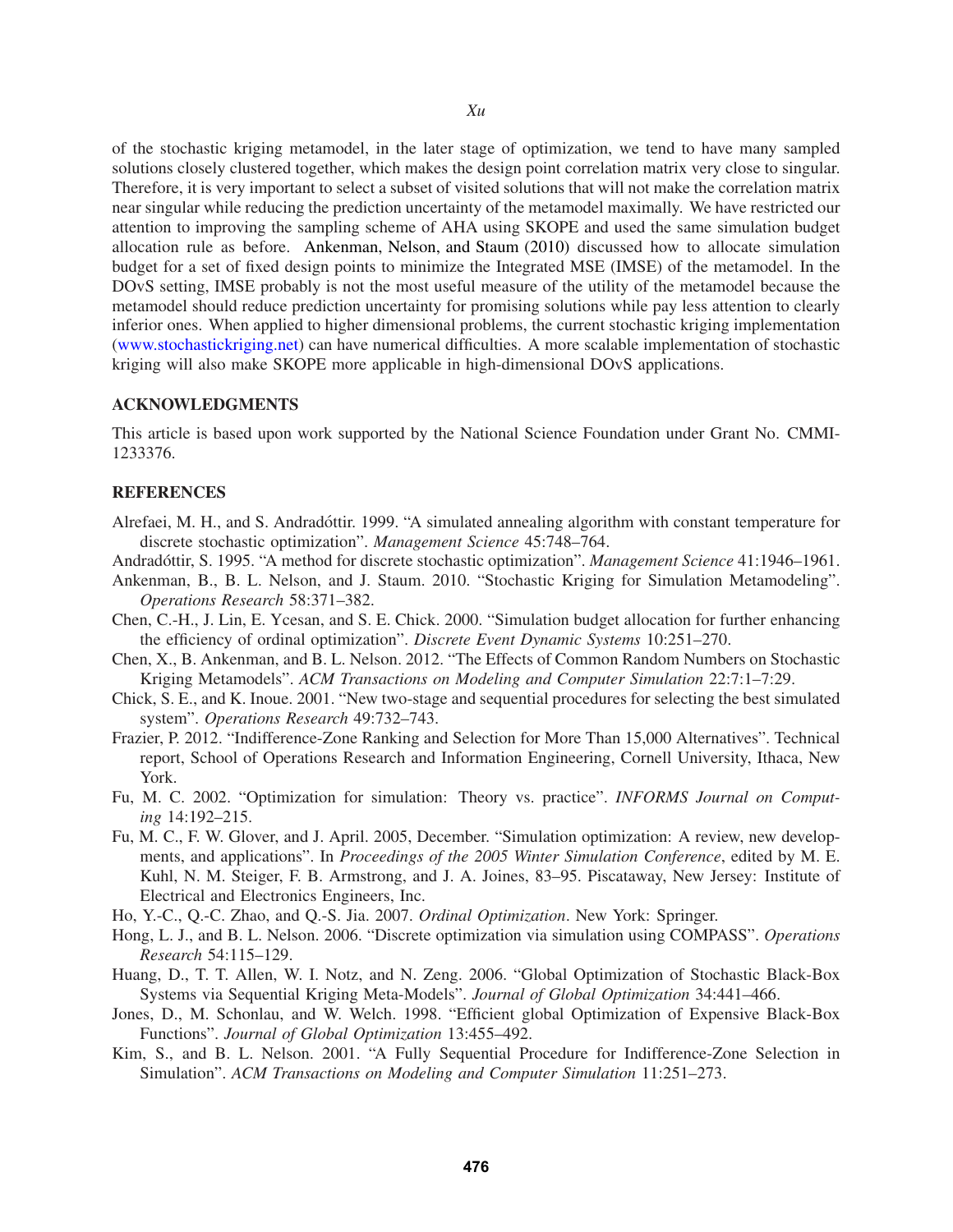of the stochastic kriging metamodel, in the later stage of optimization, we tend to have many sampled solutions closely clustered together, which makes the design point correlation matrix very close to singular. Therefore, it is very important to select a subset of visited solutions that will not make the correlation matrix near singular while reducing the prediction uncertainty of the metamodel maximally. We have restricted our attention to improving the sampling scheme of AHA using SKOPE and used the same simulation budget allocation rule as before. Ankenman, Nelson, and Staum (2010) discussed how to allocate simulation budget for a set of fixed design points to minimize the Integrated MSE (IMSE) of the metamodel. In the DOvS setting, IMSE probably is not the most useful measure of the utility of the metamodel because the metamodel should reduce prediction uncertainty for promising solutions while pay less attention to clearly inferior ones. When applied to higher dimensional problems, the current stochastic kriging implementation (www.stochastickriging.net) can have numerical difficulties. A more scalable implementation of stochastic kriging will also make SKOPE more applicable in high-dimensional DOvS applications.

## **ACKNOWLEDGMENTS**

This article is based upon work supported by the National Science Foundation under Grant No. CMMI-1233376.

## **REFERENCES**

- Alrefaei, M. H., and S. Andradóttir. 1999. "A simulated annealing algorithm with constant temperature for discrete stochastic optimization". *Management Science* 45:748–764.
- Andradóttir, S. 1995. "A method for discrete stochastic optimization". *Management Science* 41:1946–1961.
- Ankenman, B., B. L. Nelson, and J. Staum. 2010. "Stochastic Kriging for Simulation Metamodeling". *Operations Research* 58:371–382.
- Chen, C.-H., J. Lin, E. Ycesan, and S. E. Chick. 2000. "Simulation budget allocation for further enhancing the efficiency of ordinal optimization". *Discrete Event Dynamic Systems* 10:251–270.
- Chen, X., B. Ankenman, and B. L. Nelson. 2012. "The Effects of Common Random Numbers on Stochastic Kriging Metamodels". *ACM Transactions on Modeling and Computer Simulation* 22:7:1–7:29.
- Chick, S. E., and K. Inoue. 2001. "New two-stage and sequential procedures for selecting the best simulated system". *Operations Research* 49:732–743.
- Frazier, P. 2012. "Indifference-Zone Ranking and Selection for More Than 15,000 Alternatives". Technical report, School of Operations Research and Information Engineering, Cornell University, Ithaca, New York.
- Fu, M. C. 2002. "Optimization for simulation: Theory vs. practice". *INFORMS Journal on Computing* 14:192–215.
- Fu, M. C., F. W. Glover, and J. April. 2005, December. "Simulation optimization: A review, new developments, and applications". In *Proceedings of the 2005 Winter Simulation Conference*, edited by M. E. Kuhl, N. M. Steiger, F. B. Armstrong, and J. A. Joines, 83–95. Piscataway, New Jersey: Institute of Electrical and Electronics Engineers, Inc.
- Ho, Y.-C., Q.-C. Zhao, and Q.-S. Jia. 2007. *Ordinal Optimization*. New York: Springer.
- Hong, L. J., and B. L. Nelson. 2006. "Discrete optimization via simulation using COMPASS". *Operations Research* 54:115–129.
- Huang, D., T. T. Allen, W. I. Notz, and N. Zeng. 2006. "Global Optimization of Stochastic Black-Box Systems via Sequential Kriging Meta-Models". *Journal of Global Optimization* 34:441–466.
- Jones, D., M. Schonlau, and W. Welch. 1998. "Efficient global Optimization of Expensive Black-Box Functions". *Journal of Global Optimization* 13:455–492.
- Kim, S., and B. L. Nelson. 2001. "A Fully Sequential Procedure for Indifference-Zone Selection in Simulation". *ACM Transactions on Modeling and Computer Simulation* 11:251–273.